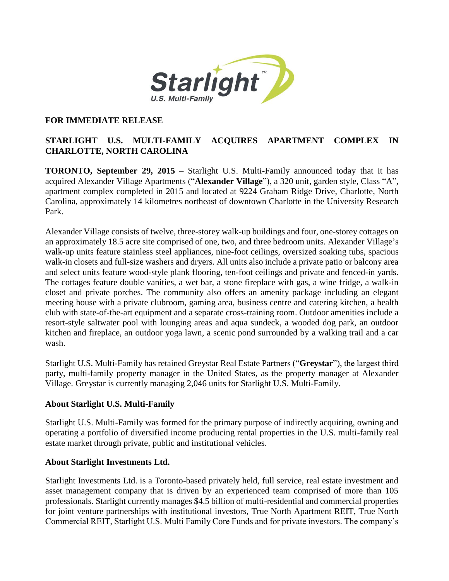

## **FOR IMMEDIATE RELEASE**

## **STARLIGHT U.S. MULTI-FAMILY ACQUIRES APARTMENT COMPLEX IN CHARLOTTE, NORTH CAROLINA**

**TORONTO, September 29, 2015** – Starlight U.S. Multi-Family announced today that it has acquired Alexander Village Apartments ("**Alexander Village**"), a 320 unit, garden style, Class "A", apartment complex completed in 2015 and located at 9224 Graham Ridge Drive, Charlotte, North Carolina, approximately 14 kilometres northeast of downtown Charlotte in the University Research Park.

Alexander Village consists of twelve, three-storey walk-up buildings and four, one-storey cottages on an approximately 18.5 acre site comprised of one, two, and three bedroom units. Alexander Village's walk-up units feature stainless steel appliances, nine-foot ceilings, oversized soaking tubs, spacious walk-in closets and full-size washers and dryers. All units also include a private patio or balcony area and select units feature wood-style plank flooring, ten-foot ceilings and private and fenced-in yards. The cottages feature double vanities, a wet bar, a stone fireplace with gas, a wine fridge, a walk-in closet and private porches. The community also offers an amenity package including an elegant meeting house with a private clubroom, gaming area, business centre and catering kitchen, a health club with state-of-the-art equipment and a separate cross-training room. Outdoor amenities include a resort-style saltwater pool with lounging areas and aqua sundeck, a wooded dog park, an outdoor kitchen and fireplace, an outdoor yoga lawn, a scenic pond surrounded by a walking trail and a car wash.

Starlight U.S. Multi-Family has retained Greystar Real Estate Partners ("**Greystar**"), the largest third party, multi-family property manager in the United States, as the property manager at Alexander Village. Greystar is currently managing 2,046 units for Starlight U.S. Multi-Family.

## **About Starlight U.S. Multi-Family**

Starlight U.S. Multi-Family was formed for the primary purpose of indirectly acquiring, owning and operating a portfolio of diversified income producing rental properties in the U.S. multi-family real estate market through private, public and institutional vehicles.

## **About Starlight Investments Ltd.**

Starlight Investments Ltd. is a Toronto-based privately held, full service, real estate investment and asset management company that is driven by an experienced team comprised of more than 105 professionals. Starlight currently manages \$4.5 billion of multi-residential and commercial properties for joint venture partnerships with institutional investors, True North Apartment REIT, True North Commercial REIT, Starlight U.S. Multi Family Core Funds and for private investors. The company's